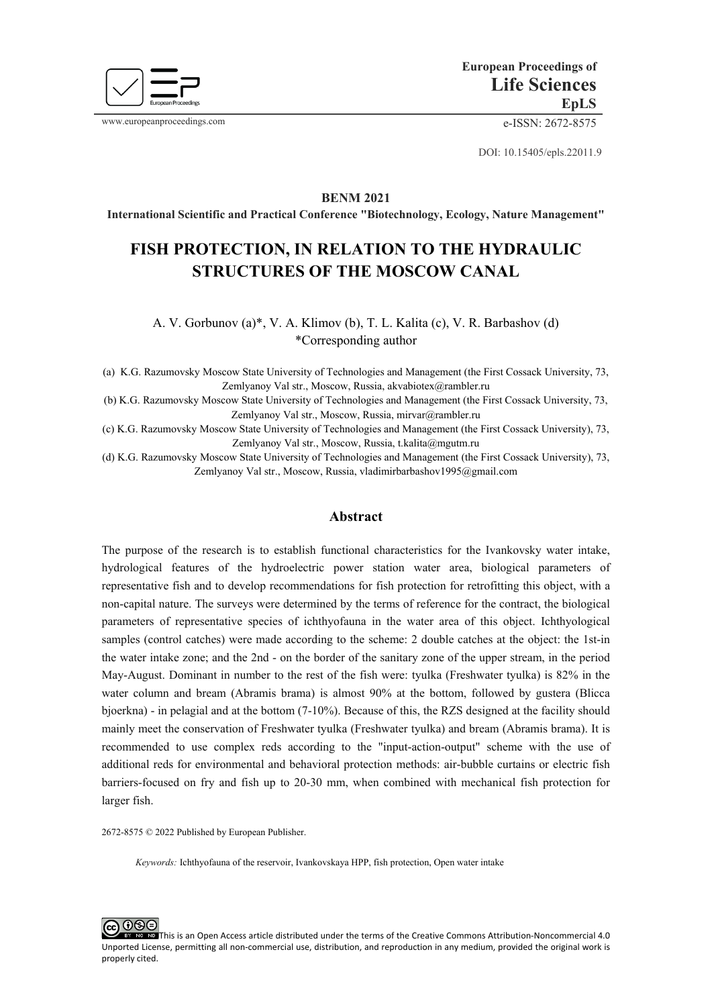

www.europeanproceedings.com e-ISSN: 2672-8575

DOI: 10.15405/epls.22011.9

**BENM 2021**

**International Scientific and Practical Conference "Biotechnology, Ecology, Nature Management"**

# **FISH PROTECTION, IN RELATION TO THE HYDRAULIC STRUCTURES OF THE MOSCOW CANAL**

# A. V. Gorbunov (a)\*, V. A. Klimov (b), T. L. Kalita (c), V. R. Barbashov (d) \*Corresponding author

(a) K.G. Razumovsky Moscow State University of Technologies and Management (the First Cossack University, 73, Zemlyanoy Val str., Moscow, Russia, akvabiotex@rambler.ru

(b) K.G. Razumovsky Moscow State University of Technologies and Management (the First Cossack University, 73, Zemlyanoy Val str., Moscow, Russia, mirvar@rambler.ru

(c) K.G. Razumovsky Moscow State University of Technologies and Management (the First Cossack University), 73, Zemlyanoy Val str., Moscow, Russia, t.kalita@mgutm.ru

(d) K.G. Razumovsky Moscow State University of Technologies and Management (the First Cossack University), 73, Zemlyanoy Val str., Moscow, Russia, vladimirbarbashov1995@gmail.com

## **Abstract**

The purpose of the research is to establish functional characteristics for the Ivankovsky water intake, hydrological features of the hydroelectric power station water area, biological parameters of representative fish and to develop recommendations for fish protection for retrofitting this object, with a non-capital nature. The surveys were determined by the terms of reference for the contract, the biological parameters of representative species of ichthyofauna in the water area of this object. Ichthyological samples (control catches) were made according to the scheme: 2 double catches at the object: the 1st-in the water intake zone; and the 2nd - on the border of the sanitary zone of the upper stream, in the period May-August. Dominant in number to the rest of the fish were: tyulka (Freshwater tyulka) is 82% in the water column and bream (Abramis brama) is almost 90% at the bottom, followed by gustera (Blicca bjoerkna) - in pelagial and at the bottom (7-10%). Because of this, the RZS designed at the facility should mainly meet the conservation of Freshwater tyulka (Freshwater tyulka) and bream (Abramis brama). It is recommended to use complex reds according to the "input-action-output" scheme with the use of additional reds for environmental and behavioral protection methods: air-bubble curtains or electric fish barriers-focused on fry and fish up to 20-30 mm, when combined with mechanical fish protection for larger fish.

2672-8575 © 2022 Published by European Publisher.

*Keywords:* Ichthyofauna of the reservoir, Ivankovskaya HPP, fish protection, Open water intake



This is an Open Access article distributed under the terms of the Creative Commons Attribution-Noncommercial 4.0 Unported License, permitting all non-commercial use, distribution, and reproduction in any medium, provided the original work is properly cited.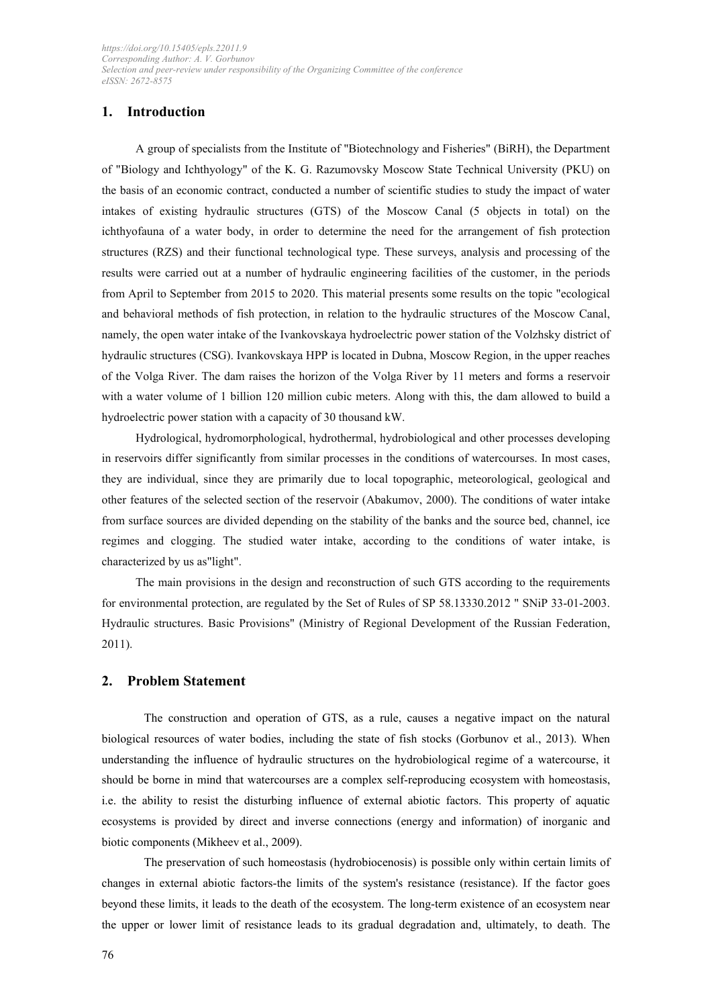## **1. Introduction**

A group of specialists from the Institute of "Biotechnology and Fisheries" (BiRH), the Department of "Biology and Ichthyology" of the K. G. Razumovsky Moscow State Technical University (PKU) on the basis of an economic contract, conducted a number of scientific studies to study the impact of water intakes of existing hydraulic structures (GTS) of the Moscow Canal (5 objects in total) on the ichthyofauna of a water body, in order to determine the need for the arrangement of fish protection structures (RZS) and their functional technological type. These surveys, analysis and processing of the results were carried out at a number of hydraulic engineering facilities of the customer, in the periods from April to September from 2015 to 2020. This material presents some results on the topic "ecological and behavioral methods of fish protection, in relation to the hydraulic structures of the Moscow Canal, namely, the open water intake of the Ivankovskaya hydroelectric power station of the Volzhsky district of hydraulic structures (CSG). Ivankovskaya HPP is located in Dubna, Moscow Region, in the upper reaches of the Volga River. The dam raises the horizon of the Volga River by 11 meters and forms a reservoir with a water volume of 1 billion 120 million cubic meters. Along with this, the dam allowed to build a hydroelectric power station with a capacity of 30 thousand kW.

Hydrological, hydromorphological, hydrothermal, hydrobiological and other processes developing in reservoirs differ significantly from similar processes in the conditions of watercourses. In most cases, they are individual, since they are primarily due to local topographic, meteorological, geological and other features of the selected section of the reservoir (Abakumov, 2000). The conditions of water intake from surface sources are divided depending on the stability of the banks and the source bed, channel, ice regimes and clogging. The studied water intake, according to the conditions of water intake, is characterized by us as"light".

The main provisions in the design and reconstruction of such GTS according to the requirements for environmental protection, are regulated by the Set of Rules of SP 58.13330.2012 " SNiP 33-01-2003. Hydraulic structures. Basic Provisions" (Ministry of Regional Development of the Russian Federation, 2011).

#### **2. Problem Statement**

The construction and operation of GTS, as a rule, causes a negative impact on the natural biological resources of water bodies, including the state of fish stocks (Gorbunov et al., 2013). When understanding the influence of hydraulic structures on the hydrobiological regime of a watercourse, it should be borne in mind that watercourses are a complex self-reproducing ecosystem with homeostasis, i.e. the ability to resist the disturbing influence of external abiotic factors. This property of aquatic ecosystems is provided by direct and inverse connections (energy and information) of inorganic and biotic components (Mikheev et al., 2009).

The preservation of such homeostasis (hydrobiocenosis) is possible only within certain limits of changes in external abiotic factors-the limits of the system's resistance (resistance). If the factor goes beyond these limits, it leads to the death of the ecosystem. The long-term existence of an ecosystem near the upper or lower limit of resistance leads to its gradual degradation and, ultimately, to death. The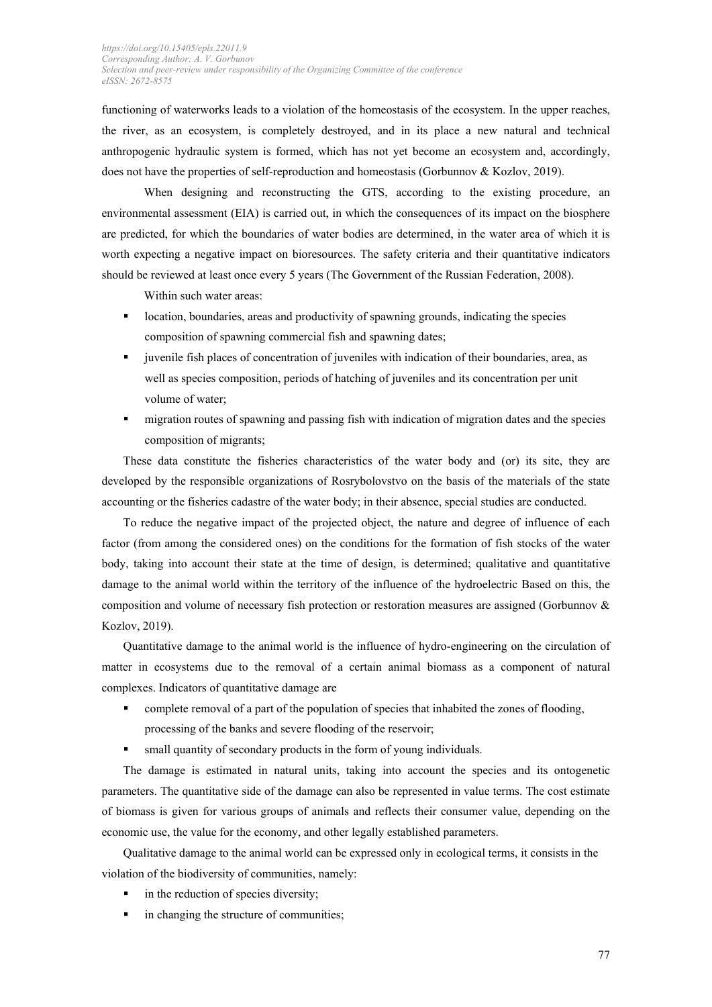functioning of waterworks leads to a violation of the homeostasis of the ecosystem. In the upper reaches, the river, as an ecosystem, is completely destroyed, and in its place a new natural and technical anthropogenic hydraulic system is formed, which has not yet become an ecosystem and, accordingly, does not have the properties of self-reproduction and homeostasis (Gorbunnov & Kozlov, 2019).

When designing and reconstructing the GTS, according to the existing procedure, an environmental assessment (EIA) is carried out, in which the consequences of its impact on the biosphere are predicted, for which the boundaries of water bodies are determined, in the water area of which it is worth expecting a negative impact on bioresources. The safety criteria and their quantitative indicators should be reviewed at least once every 5 years (The Government of the Russian Federation, 2008).

Within such water areas:

- location, boundaries, areas and productivity of spawning grounds, indicating the species composition of spawning commercial fish and spawning dates;
- juvenile fish places of concentration of juveniles with indication of their boundaries, area, as well as species composition, periods of hatching of juveniles and its concentration per unit volume of water;
- migration routes of spawning and passing fish with indication of migration dates and the species composition of migrants;

These data constitute the fisheries characteristics of the water body and (or) its site, they are developed by the responsible organizations of Rosrybolovstvo on the basis of the materials of the state accounting or the fisheries cadastre of the water body; in their absence, special studies are conducted.

To reduce the negative impact of the projected object, the nature and degree of influence of each factor (from among the considered ones) on the conditions for the formation of fish stocks of the water body, taking into account their state at the time of design, is determined; qualitative and quantitative damage to the animal world within the territory of the influence of the hydroelectric Based on this, the composition and volume of necessary fish protection or restoration measures are assigned (Gorbunnov & Kozlov, 2019).

Quantitative damage to the animal world is the influence of hydro-engineering on the circulation of matter in ecosystems due to the removal of a certain animal biomass as a component of natural complexes. Indicators of quantitative damage are

- complete removal of a part of the population of species that inhabited the zones of flooding, processing of the banks and severe flooding of the reservoir;
- small quantity of secondary products in the form of young individuals.

The damage is estimated in natural units, taking into account the species and its ontogenetic parameters. The quantitative side of the damage can also be represented in value terms. The cost estimate of biomass is given for various groups of animals and reflects their consumer value, depending on the economic use, the value for the economy, and other legally established parameters.

Qualitative damage to the animal world can be expressed only in ecological terms, it consists in the violation of the biodiversity of communities, namely:

- in the reduction of species diversity;
- in changing the structure of communities;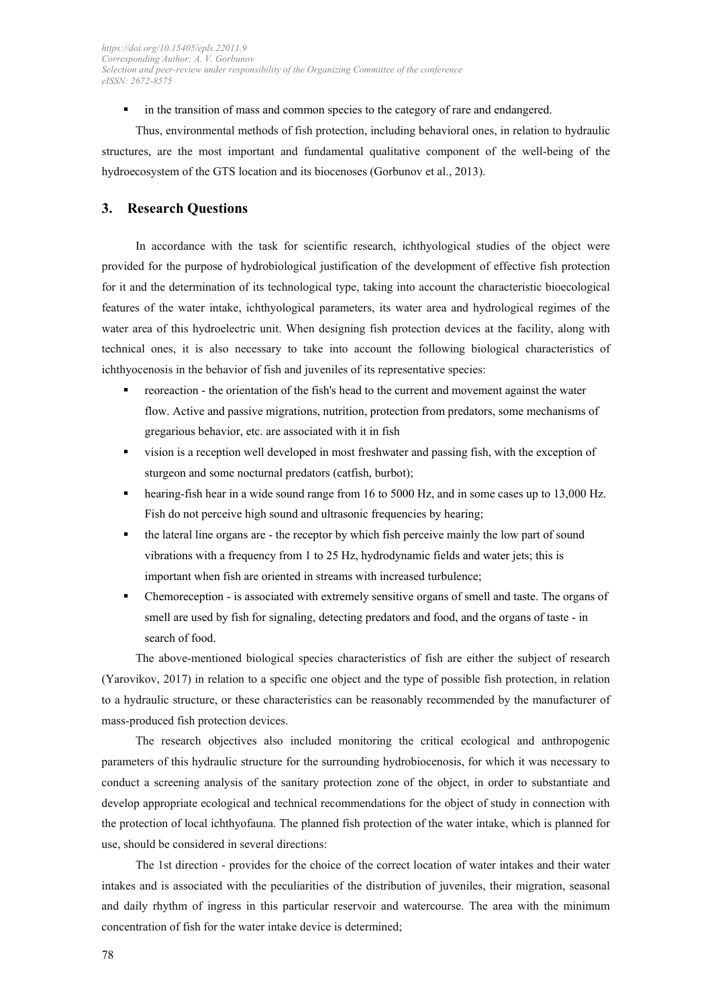in the transition of mass and common species to the category of rare and endangered.

Thus, environmental methods of fish protection, including behavioral ones, in relation to hydraulic structures, are the most important and fundamental qualitative component of the well-being of the hydroecosystem of the GTS location and its biocenoses (Gorbunov et al., 2013).

### **3. Research Questions**

In accordance with the task for scientific research, ichthyological studies of the object were provided for the purpose of hydrobiological justification of the development of effective fish protection for it and the determination of its technological type, taking into account the characteristic bioecological features of the water intake, ichthyological parameters, its water area and hydrological regimes of the water area of this hydroelectric unit. When designing fish protection devices at the facility, along with technical ones, it is also necessary to take into account the following biological characteristics of ichthyocenosis in the behavior of fish and juveniles of its representative species:

- reoreaction the orientation of the fish's head to the current and movement against the water flow. Active and passive migrations, nutrition, protection from predators, some mechanisms of gregarious behavior, etc. are associated with it in fish
- vision is a reception well developed in most freshwater and passing fish, with the exception of sturgeon and some nocturnal predators (catfish, burbot);
- hearing-fish hear in a wide sound range from 16 to 5000 Hz, and in some cases up to 13,000 Hz. Fish do not perceive high sound and ultrasonic frequencies by hearing;
- the lateral line organs are the receptor by which fish perceive mainly the low part of sound vibrations with a frequency from 1 to 25 Hz, hydrodynamic fields and water jets; this is important when fish are oriented in streams with increased turbulence;
- Chemoreception is associated with extremely sensitive organs of smell and taste. The organs of smell are used by fish for signaling, detecting predators and food, and the organs of taste - in search of food.

The above-mentioned biological species characteristics of fish are either the subject of research (Yarovikov, 2017) in relation to a specific one object and the type of possible fish protection, in relation to a hydraulic structure, or these characteristics can be reasonably recommended by the manufacturer of mass-produced fish protection devices.

The research objectives also included monitoring the critical ecological and anthropogenic parameters of this hydraulic structure for the surrounding hydrobiocenosis, for which it was necessary to conduct a screening analysis of the sanitary protection zone of the object, in order to substantiate and develop appropriate ecological and technical recommendations for the object of study in connection with the protection of local ichthyofauna. The planned fish protection of the water intake, which is planned for use, should be considered in several directions:

The 1st direction - provides for the choice of the correct location of water intakes and their water intakes and is associated with the peculiarities of the distribution of juveniles, their migration, seasonal and daily rhythm of ingress in this particular reservoir and watercourse. The area with the minimum concentration of fish for the water intake device is determined;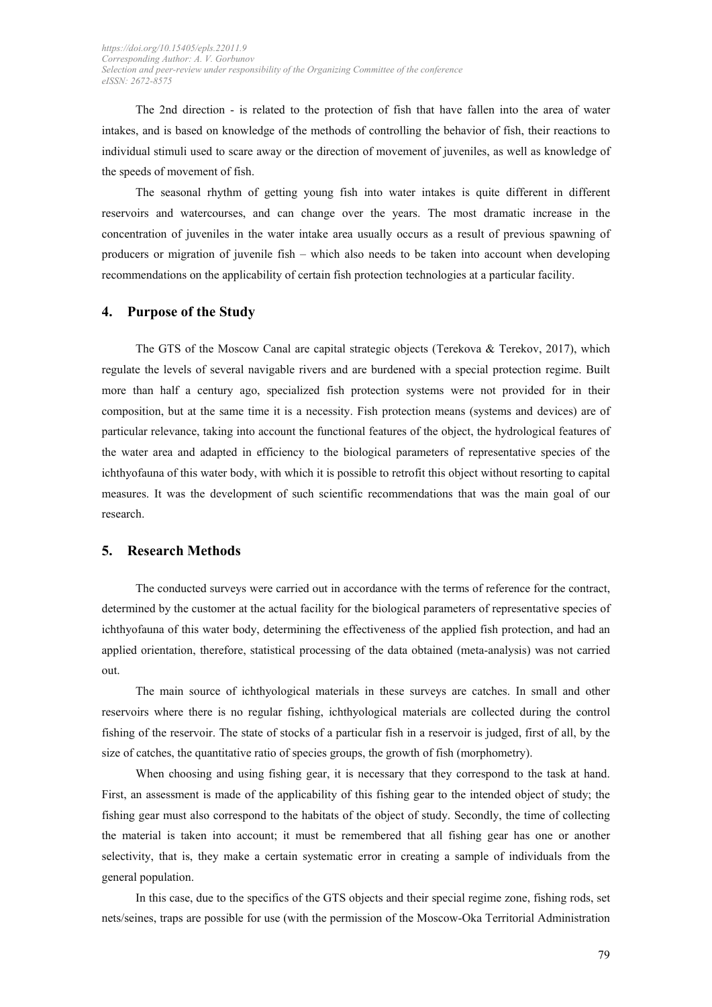The 2nd direction - is related to the protection of fish that have fallen into the area of water intakes, and is based on knowledge of the methods of controlling the behavior of fish, their reactions to individual stimuli used to scare away or the direction of movement of juveniles, as well as knowledge of the speeds of movement of fish.

The seasonal rhythm of getting young fish into water intakes is quite different in different reservoirs and watercourses, and can change over the years. The most dramatic increase in the concentration of juveniles in the water intake area usually occurs as a result of previous spawning of producers or migration of juvenile fish – which also needs to be taken into account when developing recommendations on the applicability of certain fish protection technologies at a particular facility.

#### **4. Purpose of the Study**

The GTS of the Moscow Canal are capital strategic objects (Terekova & Terekov, 2017), which regulate the levels of several navigable rivers and are burdened with a special protection regime. Built more than half a century ago, specialized fish protection systems were not provided for in their composition, but at the same time it is a necessity. Fish protection means (systems and devices) are of particular relevance, taking into account the functional features of the object, the hydrological features of the water area and adapted in efficiency to the biological parameters of representative species of the ichthyofauna of this water body, with which it is possible to retrofit this object without resorting to capital measures. It was the development of such scientific recommendations that was the main goal of our research.

#### **5. Research Methods**

The conducted surveys were carried out in accordance with the terms of reference for the contract, determined by the customer at the actual facility for the biological parameters of representative species of ichthyofauna of this water body, determining the effectiveness of the applied fish protection, and had an applied orientation, therefore, statistical processing of the data obtained (meta-analysis) was not carried out.

The main source of ichthyological materials in these surveys are catches. In small and other reservoirs where there is no regular fishing, ichthyological materials are collected during the control fishing of the reservoir. The state of stocks of a particular fish in a reservoir is judged, first of all, by the size of catches, the quantitative ratio of species groups, the growth of fish (morphometry).

When choosing and using fishing gear, it is necessary that they correspond to the task at hand. First, an assessment is made of the applicability of this fishing gear to the intended object of study; the fishing gear must also correspond to the habitats of the object of study. Secondly, the time of collecting the material is taken into account; it must be remembered that all fishing gear has one or another selectivity, that is, they make a certain systematic error in creating a sample of individuals from the general population.

In this case, due to the specifics of the GTS objects and their special regime zone, fishing rods, set nets/seines, traps are possible for use (with the permission of the Moscow-Oka Territorial Administration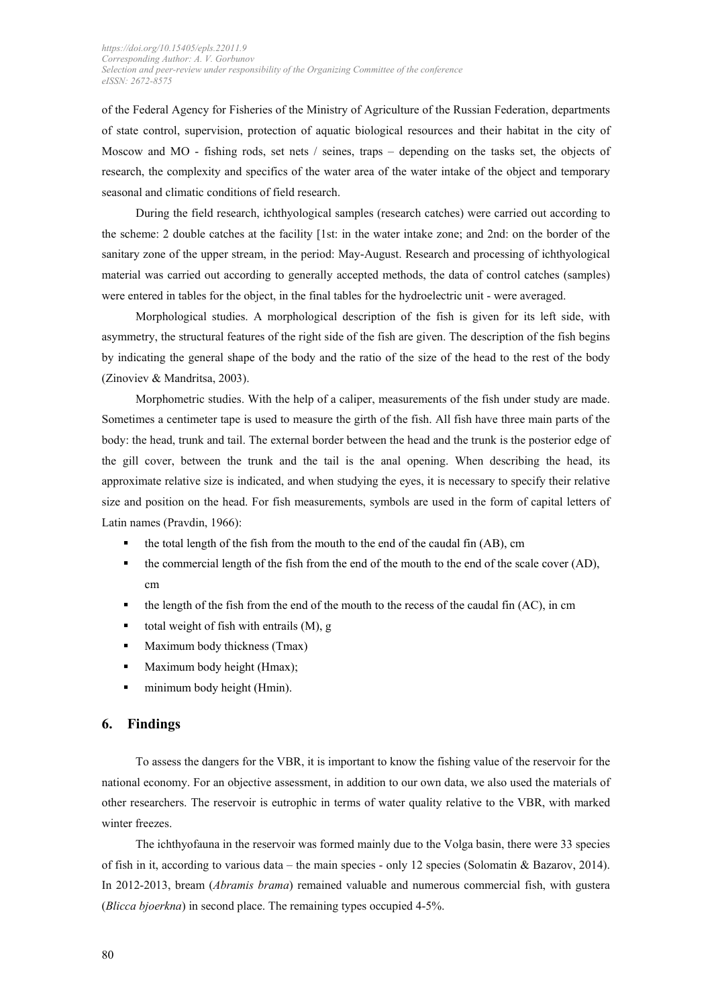of the Federal Agency for Fisheries of the Ministry of Agriculture of the Russian Federation, departments of state control, supervision, protection of aquatic biological resources and their habitat in the city of Moscow and MO - fishing rods, set nets / seines, traps – depending on the tasks set, the objects of research, the complexity and specifics of the water area of the water intake of the object and temporary seasonal and climatic conditions of field research.

During the field research, ichthyological samples (research catches) were carried out according to the scheme: 2 double catches at the facility [1st: in the water intake zone; and 2nd: on the border of the sanitary zone of the upper stream, in the period: May-August. Research and processing of ichthyological material was carried out according to generally accepted methods, the data of control catches (samples) were entered in tables for the object, in the final tables for the hydroelectric unit - were averaged.

Morphological studies. A morphological description of the fish is given for its left side, with asymmetry, the structural features of the right side of the fish are given. The description of the fish begins by indicating the general shape of the body and the ratio of the size of the head to the rest of the body (Zinoviev & Mandritsa, 2003).

Morphometric studies. With the help of a caliper, measurements of the fish under study are made. Sometimes a centimeter tape is used to measure the girth of the fish. All fish have three main parts of the body: the head, trunk and tail. The external border between the head and the trunk is the posterior edge of the gill cover, between the trunk and the tail is the anal opening. When describing the head, its approximate relative size is indicated, and when studying the eyes, it is necessary to specify their relative size and position on the head. For fish measurements, symbols are used in the form of capital letters of Latin names (Pravdin, 1966):

- the total length of the fish from the mouth to the end of the caudal fin (AB), cm
- $\bullet$  the commercial length of the fish from the end of the mouth to the end of the scale cover (AD), cm
- $\bullet$  the length of the fish from the end of the mouth to the recess of the caudal fin (AC), in cm
- total weight of fish with entrails  $(M)$ , g
- $Maximum body thickness (Tmax)$
- **Maximum body height (Hmax);**
- $\blacksquare$  minimum body height (Hmin).

#### **6. Findings**

To assess the dangers for the VBR, it is important to know the fishing value of the reservoir for the national economy. For an objective assessment, in addition to our own data, we also used the materials of other researchers. The reservoir is eutrophic in terms of water quality relative to the VBR, with marked winter freezes.

The ichthyofauna in the reservoir was formed mainly due to the Volga basin, there were 33 species of fish in it, according to various data – the main species - only 12 species (Solomatin & Bazarov, 2014). In 2012-2013, bream (*Abramis brama*) remained valuable and numerous commercial fish, with gustera (*Blicca bjoerkna*) in second place. The remaining types occupied 4-5%.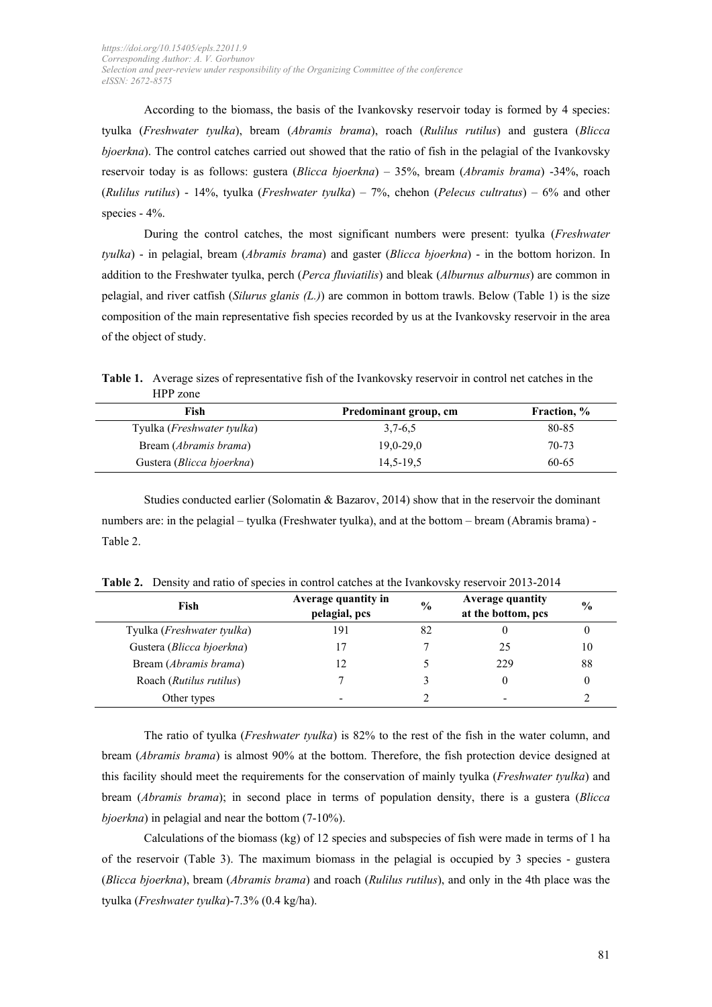According to the biomass, the basis of the Ivankovsky reservoir today is formed by 4 species: tyulka (*Freshwater tyulka*), bream (*Abramis brama*), roach (*Rulilus rutilus*) and gustera (*Blicca bjoerkna*). The control catches carried out showed that the ratio of fish in the pelagial of the Ivankovsky reservoir today is as follows: gustera (*Blicca bjoerkna*) – 35%, bream (*Abramis brama*) -34%, roach (*Rulilus rutilus*) - 14%, tyulka (*Freshwater tyulka*) – 7%, chehon (*Pelecus cultratus*) – 6% and other species - 4%.

During the control catches, the most significant numbers were present: tyulka (*Freshwater tyulka*) - in pelagial, bream (*Abramis brama*) and gaster (*Blicca bjoerkna*) - in the bottom horizon. In addition to the Freshwater tyulka, perch (*Perca fluviatilis*) and bleak (*Alburnus alburnus*) are common in pelagial, and river catfish (*Silurus glanis (L.)*) are common in bottom trawls. Below (Table 1) is the size composition of the main representative fish species recorded by us at the Ivankovsky reservoir in the area of the object of study.

**Table 1.** Average sizes of representative fish of the Ivankovsky reservoir in control net catches in the HPP zone

| Fish                                | Predominant group, cm | <b>Fraction</b> , % |
|-------------------------------------|-----------------------|---------------------|
| Tyulka ( <i>Freshwater tyulka</i> ) | $3,7-6,5$             | 80-85               |
| Bream ( <i>Abramis brama</i> )      | $19.0 - 29.0$         | $70 - 73$           |
| Gustera ( <i>Blicca bjoerkna</i> )  | 14.5-19.5             | 60-65               |

Studies conducted earlier (Solomatin & Bazarov, 2014) show that in the reservoir the dominant numbers are: in the pelagial – tyulka (Freshwater tyulka), and at the bottom – bream (Abramis brama) - Table 2.

| Fish                       | Average quantity in<br>pelagial, pcs | $\frac{0}{0}$ | <b>Average quantity</b><br>at the bottom, pcs | $\frac{6}{9}$ |
|----------------------------|--------------------------------------|---------------|-----------------------------------------------|---------------|
| Tyulka (Freshwater tyulka) | 191                                  |               |                                               |               |
| Gustera (Blicca bjoerkna)  |                                      |               | 25                                            | 10            |
| Bream (Abramis brama)      |                                      |               | 229                                           | 88            |
| Roach (Rutilus rutilus)    |                                      |               |                                               |               |
| Other types                | $\overline{\phantom{a}}$             |               |                                               |               |

**Table 2.** Density and ratio of species in control catches at the Ivankovsky reservoir 2013-2014

The ratio of tyulka (*Freshwater tyulka*) is 82% to the rest of the fish in the water column, and bream (*Abramis brama*) is almost 90% at the bottom. Therefore, the fish protection device designed at this facility should meet the requirements for the conservation of mainly tyulka (*Freshwater tyulka*) and bream (*Abramis brama*); in second place in terms of population density, there is a gustera (*Blicca bjoerkna*) in pelagial and near the bottom (7-10%).

Calculations of the biomass (kg) of 12 species and subspecies of fish were made in terms of 1 ha of the reservoir (Table 3). The maximum biomass in the pelagial is occupied by 3 species - gustera (*Blicca bjoerkna*), bream (*Abramis brama*) and roach (*Rulilus rutilus*), and only in the 4th place was the tyulka (*Freshwater tyulka*)-7.3% (0.4 kg/ha).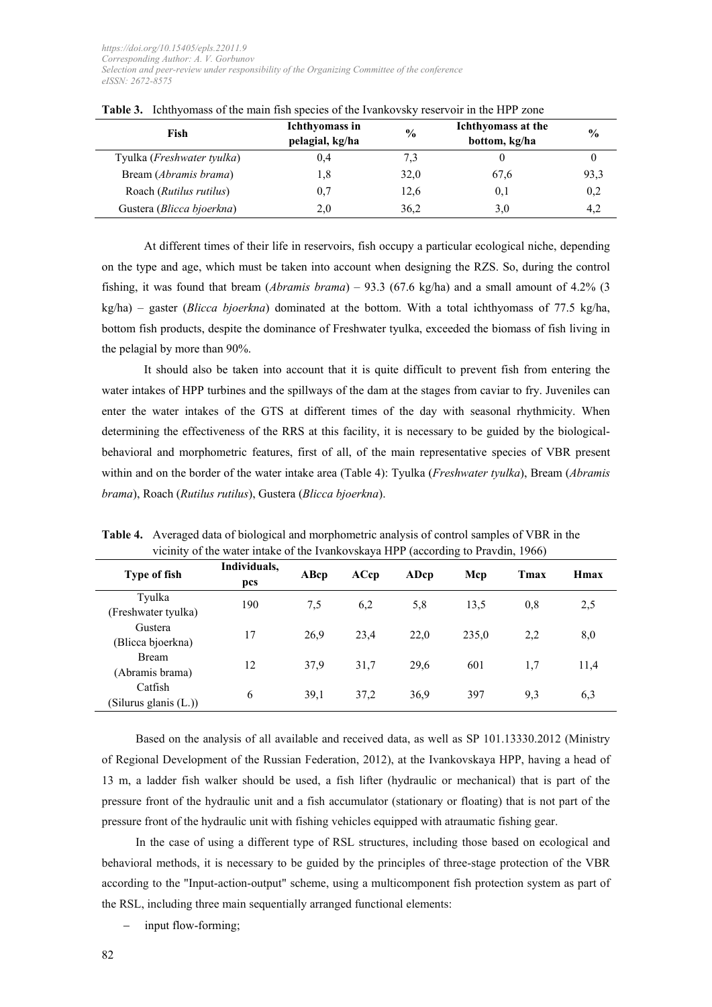| Fish                                | Ichthyomass in<br>pelagial, kg/ha | $\frac{0}{0}$ | Ichthyomass at the<br>bottom, kg/ha | $\frac{0}{0}$ |
|-------------------------------------|-----------------------------------|---------------|-------------------------------------|---------------|
| Tyulka ( <i>Freshwater tyulka</i> ) | 0,4                               | 7.3           |                                     |               |
| Bream (Abramis brama)               | 1,8                               | 32,0          | 67,6                                | 93,3          |
| Roach ( <i>Rutilus rutilus</i> )    | 0,7                               | 12,6          | 0,1                                 | 0,2           |
| Gustera (Blicca bjoerkna)           | 2,0                               | 36,2          | 3,0                                 | 4,2           |

**Table 3.** Ichthyomass of the main fish species of the Ivankovsky reservoir in the HPP zone

At different times of their life in reservoirs, fish occupy a particular ecological niche, depending on the type and age, which must be taken into account when designing the RZS. So, during the control fishing, it was found that bream (*Abramis brama*) – 93.3 (67.6 kg/ha) and a small amount of 4.2% (3 kg/ha) – gaster (*Blicca bjoerkna*) dominated at the bottom. With a total ichthyomass of 77.5 kg/ha, bottom fish products, despite the dominance of Freshwater tyulka, exceeded the biomass of fish living in the pelagial by more than 90%.

It should also be taken into account that it is quite difficult to prevent fish from entering the water intakes of HPP turbines and the spillways of the dam at the stages from caviar to fry. Juveniles can enter the water intakes of the GTS at different times of the day with seasonal rhythmicity. When determining the effectiveness of the RRS at this facility, it is necessary to be guided by the biologicalbehavioral and morphometric features, first of all, of the main representative species of VBR present within and on the border of the water intake area (Table 4): Tyulka (*Freshwater tyulka*), Bream (*Abramis brama*), Roach (*Rutilus rutilus*), Gustera (*Blicca bjoerkna*).

|                                  |                     |      |      |      | $\tilde{\phantom{a}}$ |      |              |
|----------------------------------|---------------------|------|------|------|-----------------------|------|--------------|
| Type of fish                     | Individuals,<br>pcs | ABcp | ACcp | ADcp | Mcp                   | Tmax | <b>H</b> max |
| Tyulka<br>(Freshwater tyulka)    | 190                 | 7.5  | 6,2  | 5,8  | 13,5                  | 0,8  | 2,5          |
| Gustera<br>(Blicca bjoerkna)     | 17                  | 26.9 | 23,4 | 22.0 | 235,0                 | 2,2  | 8,0          |
| <b>Bream</b><br>(Abramis brama)  | 12                  | 37,9 | 31,7 | 29,6 | 601                   | 1,7  | 11,4         |
| Catfish<br>(Silurus glanis (L.)) | 6                   | 39,1 | 37,2 | 36,9 | 397                   | 9,3  | 6,3          |

**Table 4.** Averaged data of biological and morphometric analysis of control samples of VBR in the vicinity of the water intake of the Ivankovskaya HPP (according to Pravdin, 1966)

Based on the analysis of all available and received data, as well as SP 101.13330.2012 (Ministry of Regional Development of the Russian Federation, 2012), at the Ivankovskaya HPP, having a head of 13 m, a ladder fish walker should be used, a fish lifter (hydraulic or mechanical) that is part of the pressure front of the hydraulic unit and a fish accumulator (stationary or floating) that is not part of the pressure front of the hydraulic unit with fishing vehicles equipped with atraumatic fishing gear.

In the case of using a different type of RSL structures, including those based on ecological and behavioral methods, it is necessary to be guided by the principles of three-stage protection of the VBR according to the "Input-action-output" scheme, using a multicomponent fish protection system as part of the RSL, including three main sequentially arranged functional elements:

input flow-forming;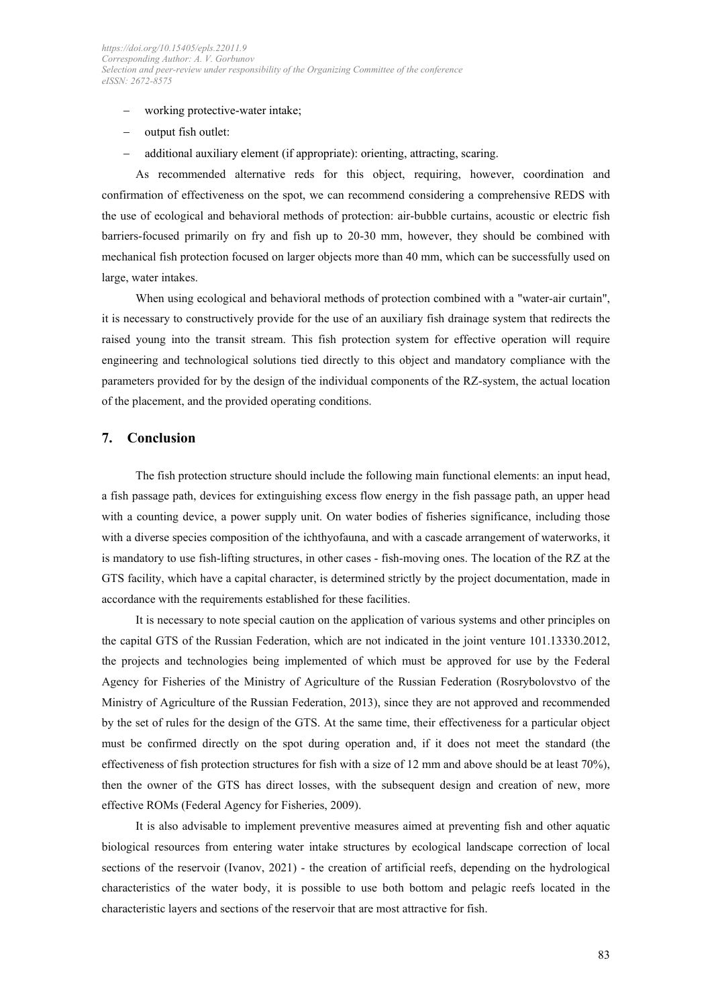- − working protective-water intake;
- − output fish outlet:
- additional auxiliary element (if appropriate): orienting, attracting, scaring.

As recommended alternative reds for this object, requiring, however, coordination and confirmation of effectiveness on the spot, we can recommend considering a comprehensive REDS with the use of ecological and behavioral methods of protection: air-bubble curtains, acoustic or electric fish barriers-focused primarily on fry and fish up to 20-30 mm, however, they should be combined with mechanical fish protection focused on larger objects more than 40 mm, which can be successfully used on large, water intakes.

When using ecological and behavioral methods of protection combined with a "water-air curtain", it is necessary to constructively provide for the use of an auxiliary fish drainage system that redirects the raised young into the transit stream. This fish protection system for effective operation will require engineering and technological solutions tied directly to this object and mandatory compliance with the parameters provided for by the design of the individual components of the RZ-system, the actual location of the placement, and the provided operating conditions.

#### **7. Conclusion**

The fish protection structure should include the following main functional elements: an input head, a fish passage path, devices for extinguishing excess flow energy in the fish passage path, an upper head with a counting device, a power supply unit. On water bodies of fisheries significance, including those with a diverse species composition of the ichthyofauna, and with a cascade arrangement of waterworks, it is mandatory to use fish-lifting structures, in other cases - fish-moving ones. The location of the RZ at the GTS facility, which have a capital character, is determined strictly by the project documentation, made in accordance with the requirements established for these facilities.

It is necessary to note special caution on the application of various systems and other principles on the capital GTS of the Russian Federation, which are not indicated in the joint venture 101.13330.2012, the projects and technologies being implemented of which must be approved for use by the Federal Agency for Fisheries of the Ministry of Agriculture of the Russian Federation (Rosrybolovstvo of the Ministry of Agriculture of the Russian Federation, 2013), since they are not approved and recommended by the set of rules for the design of the GTS. At the same time, their effectiveness for a particular object must be confirmed directly on the spot during operation and, if it does not meet the standard (the effectiveness of fish protection structures for fish with a size of 12 mm and above should be at least 70%), then the owner of the GTS has direct losses, with the subsequent design and creation of new, more effective ROMs (Federal Agency for Fisheries, 2009).

It is also advisable to implement preventive measures aimed at preventing fish and other aquatic biological resources from entering water intake structures by ecological landscape correction of local sections of the reservoir (Ivanov, 2021) - the creation of artificial reefs, depending on the hydrological characteristics of the water body, it is possible to use both bottom and pelagic reefs located in the characteristic layers and sections of the reservoir that are most attractive for fish.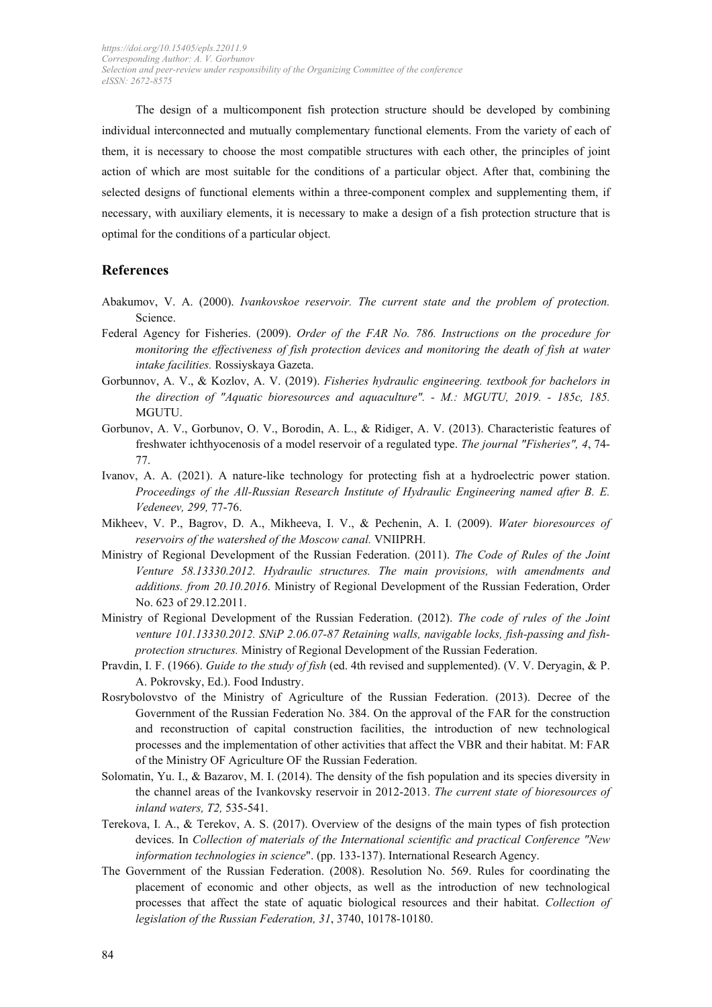The design of a multicomponent fish protection structure should be developed by combining individual interconnected and mutually complementary functional elements. From the variety of each of them, it is necessary to choose the most compatible structures with each other, the principles of joint action of which are most suitable for the conditions of a particular object. After that, combining the selected designs of functional elements within a three-component complex and supplementing them, if necessary, with auxiliary elements, it is necessary to make a design of a fish protection structure that is optimal for the conditions of a particular object.

#### **References**

- Abakumov, V. A. (2000). *Ivankovskoe reservoir. The current state and the problem of protection.*  Science.
- Federal Agency for Fisheries. (2009). *Order of the FAR No. 786. Instructions on the procedure for monitoring the effectiveness of fish protection devices and monitoring the death of fish at water intake facilities.* Rossiyskaya Gazeta.
- Gorbunnov, A. V., & Kozlov, A. V. (2019). *Fisheries hydraulic engineering. textbook for bachelors in the direction of "Aquatic bioresources and aquaculture". - M.: MGUTU, 2019. - 185c, 185.* MGUTU.
- Gorbunov, A. V., Gorbunov, O. V., Borodin, A. L., & Ridiger, A. V. (2013). Characteristic features of freshwater ichthyocenosis of a model reservoir of a regulated type. *The journal "Fisheries", 4*, 74- 77.
- Ivanov, A. A. (2021). A nature-like technology for protecting fish at a hydroelectric power station. *Proceedings of the All-Russian Research Institute of Hydraulic Engineering named after B. E. Vedeneev, 299,* 77-76.
- Mikheev, V. P., Bagrov, D. A., Mikheeva, I. V., & Pechenin, A. I. (2009). *Water bioresources of reservoirs of the watershed of the Moscow canal.* VNIIPRH.
- Ministry of Regional Development of the Russian Federation. (2011). *The Code of Rules of the Joint Venture 58.13330.2012. Hydraulic structures. The main provisions, with amendments and additions. from 20.10.2016*. Ministry of Regional Development of the Russian Federation, Order No. 623 of 29.12.2011.
- Ministry of Regional Development of the Russian Federation. (2012). *The code of rules of the Joint venture 101.13330.2012. SNiP 2.06.07-87 Retaining walls, navigable locks, fish-passing and fishprotection structures.* Ministry of Regional Development of the Russian Federation.
- Pravdin, I. F. (1966). *Guide to the study of fish* (ed. 4th revised and supplemented). (V. V. Deryagin, & P. A. Pokrovsky, Ed.). Food Industry.
- Rosrybolovstvo of the Ministry of Agriculture of the Russian Federation. (2013). Decree of the Government of the Russian Federation No. 384. On the approval of the FAR for the construction and reconstruction of capital construction facilities, the introduction of new technological processes and the implementation of other activities that affect the VBR and their habitat. M: FAR of the Ministry OF Agriculture OF the Russian Federation.
- Solomatin, Yu. I., & Bazarov, M. I. (2014). The density of the fish population and its species diversity in the channel areas of the Ivankovsky reservoir in 2012-2013. *The current state of bioresources of inland waters, T2,* 535-541.
- Terekova, I. A., & Terekov, A. S. (2017). Overview of the designs of the main types of fish protection devices. In *Collection of materials of the International scientific and practical Conference "New information technologies in science*". (pp. 133-137). International Research Agency.
- The Government of the Russian Federation. (2008). Resolution No. 569. Rules for coordinating the placement of economic and other objects, as well as the introduction of new technological processes that affect the state of aquatic biological resources and their habitat. *Collection of legislation of the Russian Federation, 31*, 3740, 10178-10180.